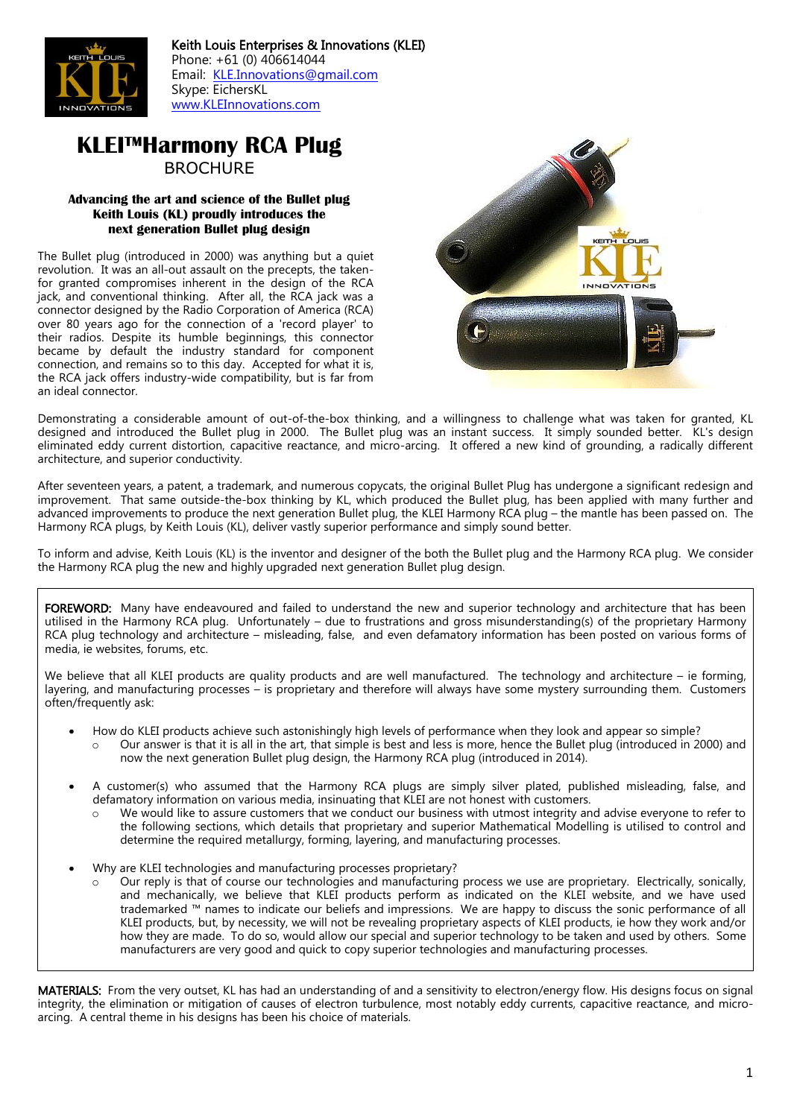

Keith Louis Enterprises & Innovations (KLEI) Phone: +61 (0) 406614044 Email: [KLE.Innovations@gmail.com](mailto:KLE.Innovations@gmail.com) Skype: EichersKL [www.KLEInnovations.com](http://www.kleinnovations.com/)

# **KLEI™Harmony RCA Plug** BROCHURE

#### **Advancing the art and science of the Bullet plug Keith Louis (KL) proudly introduces the next generation Bullet plug design**

The Bullet plug (introduced in 2000) was anything but a quiet revolution. It was an all-out assault on the precepts, the takenfor granted compromises inherent in the design of the RCA jack, and conventional thinking. After all, the RCA jack was a connector designed by the Radio Corporation of America (RCA) over 80 years ago for the connection of a 'record player' to their radios. Despite its humble beginnings, this connector became by default the industry standard for component connection, and remains so to this day. Accepted for what it is, the RCA jack offers industry-wide compatibility, but is far from an ideal connector.



Demonstrating a considerable amount of out-of-the-box thinking, and a willingness to challenge what was taken for granted, KL designed and introduced the Bullet plug in 2000. The Bullet plug was an instant success. It simply sounded better. KL's design eliminated eddy current distortion, capacitive reactance, and micro-arcing. It offered a new kind of grounding, a radically different architecture, and superior conductivity.

After seventeen years, a patent, a trademark, and numerous copycats, the original Bullet Plug has undergone a significant redesign and improvement. That same outside-the-box thinking by KL, which produced the Bullet plug, has been applied with many further and advanced improvements to produce the next generation Bullet plug, the KLEI Harmony RCA plug – the mantle has been passed on. The Harmony RCA plugs, by Keith Louis (KL), deliver vastly superior performance and simply sound better.

To inform and advise, Keith Louis (KL) is the inventor and designer of the both the Bullet plug and the Harmony RCA plug. We consider the Harmony RCA plug the new and highly upgraded next generation Bullet plug design.

FOREWORD: Many have endeavoured and failed to understand the new and superior technology and architecture that has been utilised in the Harmony RCA plug. Unfortunately – due to frustrations and gross misunderstanding(s) of the proprietary Harmony RCA plug technology and architecture – misleading, false, and even defamatory information has been posted on various forms of media, ie websites, forums, etc.

We believe that all KLEI products are quality products and are well manufactured. The technology and architecture – ie forming, layering, and manufacturing processes – is proprietary and therefore will always have some mystery surrounding them. Customers often/frequently ask:

- How do KLEI products achieve such astonishingly high levels of performance when they look and appear so simple?
	- Our answer is that it is all in the art, that simple is best and less is more, hence the Bullet plug (introduced in 2000) and now the next generation Bullet plug design, the Harmony RCA plug (introduced in 2014).
- A customer(s) who assumed that the Harmony RCA plugs are simply silver plated, published misleading, false, and defamatory information on various media, insinuating that KLEI are not honest with customers.
	- o We would like to assure customers that we conduct our business with utmost integrity and advise everyone to refer to the following sections, which details that proprietary and superior Mathematical Modelling is utilised to control and determine the required metallurgy, forming, layering, and manufacturing processes.
- Why are KLEI technologies and manufacturing processes proprietary?
	- Our reply is that of course our technologies and manufacturing process we use are proprietary. Electrically, sonically, and mechanically, we believe that KLEI products perform as indicated on the KLEI website, and we have used trademarked ™ names to indicate our beliefs and impressions. We are happy to discuss the sonic performance of all KLEI products, but, by necessity, we will not be revealing proprietary aspects of KLEI products, ie how they work and/or how they are made. To do so, would allow our special and superior technology to be taken and used by others. Some manufacturers are very good and quick to copy superior technologies and manufacturing processes.

MATERIALS: From the very outset, KL has had an understanding of and a sensitivity to electron/energy flow. His designs focus on signal integrity, the elimination or mitigation of causes of electron turbulence, most notably eddy currents, capacitive reactance, and microarcing. A central theme in his designs has been his choice of materials.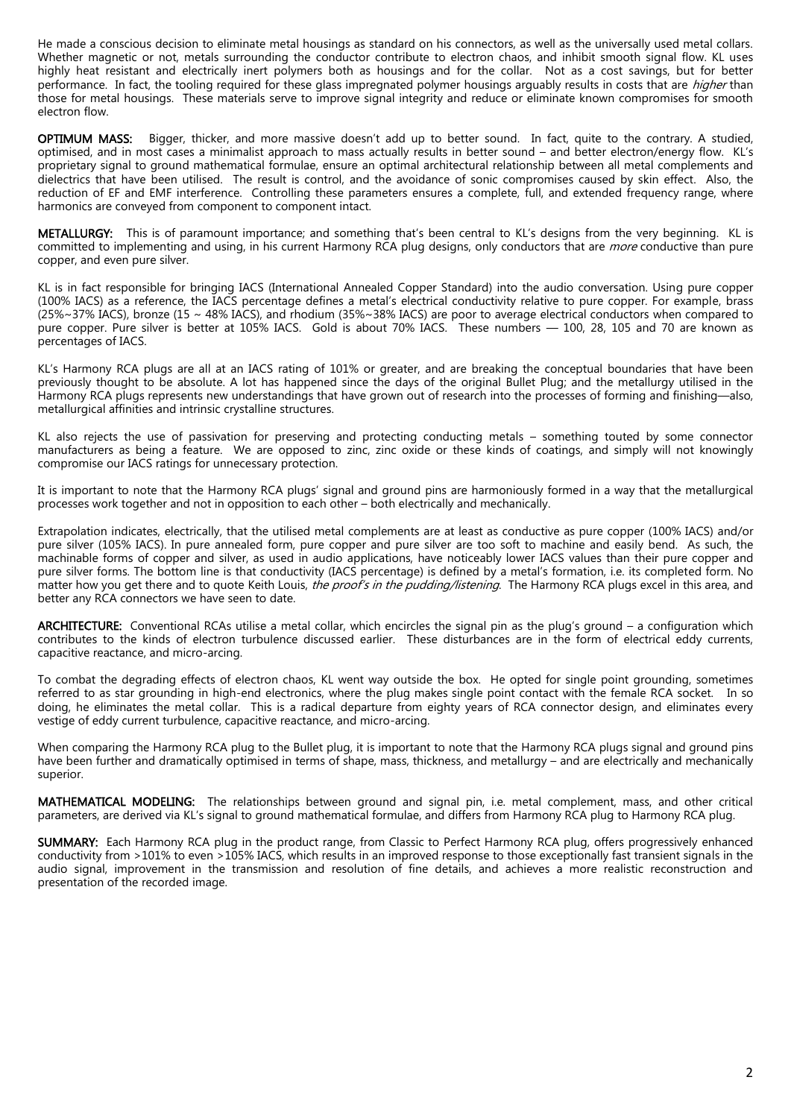He made a conscious decision to eliminate metal housings as standard on his connectors, as well as the universally used metal collars. Whether magnetic or not, metals surrounding the conductor contribute to electron chaos, and inhibit smooth signal flow. KL uses highly heat resistant and electrically inert polymers both as housings and for the collar. Not as a cost savings, but for better performance. In fact, the tooling required for these glass impregnated polymer housings arguably results in costs that are *higher* than those for metal housings. These materials serve to improve signal integrity and reduce or eliminate known compromises for smooth electron flow.

OPTIMUM MASS: Bigger, thicker, and more massive doesn't add up to better sound. In fact, quite to the contrary. A studied, optimised, and in most cases a minimalist approach to mass actually results in better sound – and better electron/energy flow. KL's proprietary signal to ground mathematical formulae, ensure an optimal architectural relationship between all metal complements and dielectrics that have been utilised. The result is control, and the avoidance of sonic compromises caused by skin effect. Also, the reduction of EF and EMF interference. Controlling these parameters ensures a complete, full, and extended frequency range, where harmonics are conveyed from component to component intact.

METALLURGY: This is of paramount importance; and something that's been central to KL's designs from the very beginning. KL is committed to implementing and using, in his current Harmony RCA plug designs, only conductors that are *more* conductive than pure copper, and even pure silver.

KL is in fact responsible for bringing IACS (International Annealed Copper Standard) into the audio conversation. Using pure copper (100% IACS) as a reference, the IACS percentage defines a metal's electrical conductivity relative to pure copper. For example, brass (25%~37% IACS), bronze (15 ~ 48% IACS), and rhodium (35%~38% IACS) are poor to average electrical conductors when compared to pure copper. Pure silver is better at 105% IACS. Gold is about 70% IACS. These numbers — 100, 28, 105 and 70 are known as percentages of IACS.

KL's Harmony RCA plugs are all at an IACS rating of 101% or greater, and are breaking the conceptual boundaries that have been previously thought to be absolute. A lot has happened since the days of the original Bullet Plug; and the metallurgy utilised in the Harmony RCA plugs represents new understandings that have grown out of research into the processes of forming and finishing—also, metallurgical affinities and intrinsic crystalline structures.

KL also rejects the use of passivation for preserving and protecting conducting metals – something touted by some connector manufacturers as being a feature. We are opposed to zinc, zinc oxide or these kinds of coatings, and simply will not knowingly compromise our IACS ratings for unnecessary protection.

It is important to note that the Harmony RCA plugs' signal and ground pins are harmoniously formed in a way that the metallurgical processes work together and not in opposition to each other – both electrically and mechanically.

Extrapolation indicates, electrically, that the utilised metal complements are at least as conductive as pure copper (100% IACS) and/or pure silver (105% IACS). In pure annealed form, pure copper and pure silver are too soft to machine and easily bend. As such, the machinable forms of copper and silver, as used in audio applications, have noticeably lower IACS values than their pure copper and pure silver forms. The bottom line is that conductivity (IACS percentage) is defined by a metal's formation, i.e. its completed form. No matter how you get there and to quote Keith Louis, the proof's in the pudding/listening. The Harmony RCA plugs excel in this area, and better any RCA connectors we have seen to date.

ARCHITECTURE: Conventional RCAs utilise a metal collar, which encircles the signal pin as the plug's ground – a configuration which contributes to the kinds of electron turbulence discussed earlier. These disturbances are in the form of electrical eddy currents, capacitive reactance, and micro-arcing.

To combat the degrading effects of electron chaos, KL went way outside the box. He opted for single point grounding, sometimes referred to as star grounding in high-end electronics, where the plug makes single point contact with the female RCA socket. In so doing, he eliminates the metal collar. This is a radical departure from eighty years of RCA connector design, and eliminates every vestige of eddy current turbulence, capacitive reactance, and micro-arcing.

When comparing the Harmony RCA plug to the Bullet plug, it is important to note that the Harmony RCA plugs signal and ground pins have been further and dramatically optimised in terms of shape, mass, thickness, and metallurgy – and are electrically and mechanically superior.

MATHEMATICAL MODELING: The relationships between ground and signal pin, i.e. metal complement, mass, and other critical parameters, are derived via KL's signal to ground mathematical formulae, and differs from Harmony RCA plug to Harmony RCA plug.

SUMMARY: Each Harmony RCA plug in the product range, from Classic to Perfect Harmony RCA plug, offers progressively enhanced conductivity from >101% to even >105% IACS, which results in an improved response to those exceptionally fast transient signals in the audio signal, improvement in the transmission and resolution of fine details, and achieves a more realistic reconstruction and presentation of the recorded image.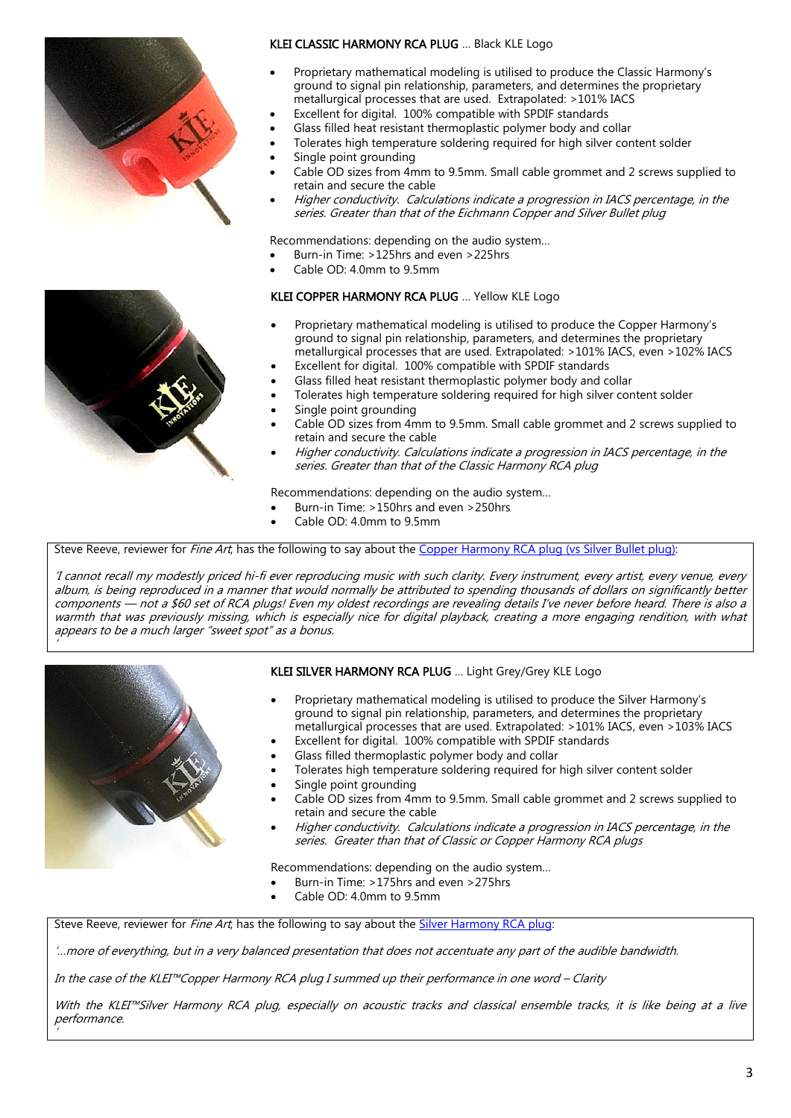

### KLEI CLASSIC HARMONY RCA PLUG … Black KLE Logo

- Proprietary mathematical modeling is utilised to produce the Classic Harmony's ground to signal pin relationship, parameters, and determines the proprietary metallurgical processes that are used. Extrapolated: >101% IACS
- Excellent for digital. 100% compatible with SPDIF standards
- Glass filled heat resistant thermoplastic polymer body and collar
- Tolerates high temperature soldering required for high silver content solder
- Single point grounding
- Cable OD sizes from 4mm to 9.5mm. Small cable grommet and 2 screws supplied to retain and secure the cable
- Higher conductivity. Calculations indicate a progression in IACS percentage, in the series. Greater than that of the Eichmann Copper and Silver Bullet plug

Recommendations: depending on the audio system…

- Burn-in Time: >125hrs and even >225hrs
- Cable OD: 4.0mm to 9.5mm

## KLEI COPPER HARMONY RCA PLUG … Yellow KLE Logo

- Proprietary mathematical modeling is utilised to produce the Copper Harmony's ground to signal pin relationship, parameters, and determines the proprietary metallurgical processes that are used. Extrapolated: >101% IACS, even >102% IACS
- Excellent for digital. 100% compatible with SPDIF standards
- Glass filled heat resistant thermoplastic polymer body and collar
- Tolerates high temperature soldering required for high silver content solder
- Single point grounding
- Cable OD sizes from 4mm to 9.5mm. Small cable grommet and 2 screws supplied to retain and secure the cable
- Higher conductivity. Calculations indicate a progression in IACS percentage, in the series. Greater than that of the Classic Harmony RCA plug

Recommendations: depending on the audio system…

- Burn-in Time: >150hrs and even >250hrs
- Cable OD: 4.0mm to 9.5mm

Steve Reeve, reviewer for *Fine Art*, has the following to say about the [Copper Harmony RCA plug](https://kleinnovations.com/klei-copper-harmony-phonorca-plug-review-by-steve-reeve/) (vs Silver Bullet plug):

'I cannot recall my modestly priced hi-fi ever reproducing music with such clarity. Every instrument, every artist, every venue, every album, is being reproduced in a manner that would normally be attributed to spending thousands of dollars on significantly better components — not a \$60 set of RCA plugs! Even my oldest recordings are revealing details I've never before heard. There is also a warmth that was previously missing, which is especially nice for digital playback, creating a more engaging rendition, with what appears to be a much larger "sweet spot" as a bonus.



'

'

## KLEI SILVER HARMONY RCA PLUG … Light Grey/Grey KLE Logo

- Proprietary mathematical modeling is utilised to produce the Silver Harmony's ground to signal pin relationship, parameters, and determines the proprietary metallurgical processes that are used. Extrapolated: >101% IACS, even >103% IACS
- Excellent for digital. 100% compatible with SPDIF standards
- Glass filled thermoplastic polymer body and collar
- Tolerates high temperature soldering required for high silver content solder
- Single point grounding
- Cable OD sizes from 4mm to 9.5mm. Small cable grommet and 2 screws supplied to retain and secure the cable
- Higher conductivity. Calculations indicate a progression in IACS percentage, in the series. Greater than that of Classic or Copper Harmony RCA plugs

Recommendations: depending on the audio system…

- Burn-in Time: >175hrs and even >275hrs
- Cable OD: 4.0mm to 9.5mm

Steve Reeve, reviewer for *Fine Art*, has the following to say about the [Silver Harmony RCA plug:](https://kleinnovations.com/klei-silver-harmony-phonorca-plug-review-by-steve-reeve/)

'…more of everything, but in a very balanced presentation that does not accentuate any part of the audible bandwidth.

In the case of the KLEI™Copper Harmony RCA plug I summed up their performance in one word – Clarity

With the KLEI™Silver Harmony RCA plug, especially on acoustic tracks and classical ensemble tracks, it is like being at a live performance.